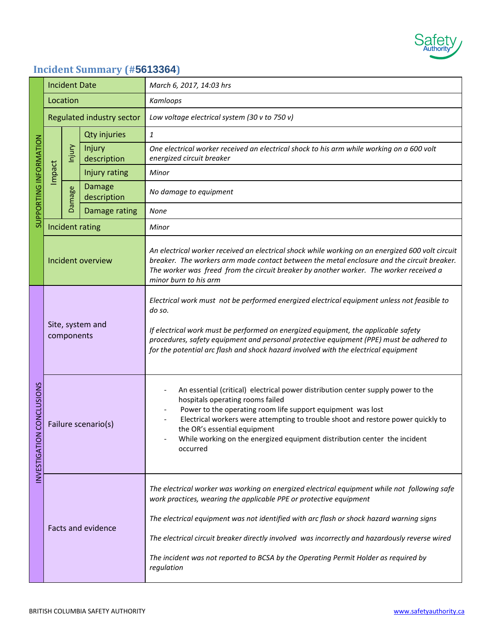

## **Incident Summary (#5613364)**

| SUPPORTING INFORMATION              | <b>Incident Date</b>           |                           |                              | March 6, 2017, 14:03 hrs                                                                                                                                                                                                                                                                                                                                                                                                                                              |
|-------------------------------------|--------------------------------|---------------------------|------------------------------|-----------------------------------------------------------------------------------------------------------------------------------------------------------------------------------------------------------------------------------------------------------------------------------------------------------------------------------------------------------------------------------------------------------------------------------------------------------------------|
|                                     | Location                       |                           |                              | Kamloops                                                                                                                                                                                                                                                                                                                                                                                                                                                              |
|                                     |                                | Regulated industry sector |                              | Low voltage electrical system (30 v to 750 v)                                                                                                                                                                                                                                                                                                                                                                                                                         |
|                                     | Impact                         | Injury                    | <b>Qty injuries</b>          | $\mathbf{1}$                                                                                                                                                                                                                                                                                                                                                                                                                                                          |
|                                     |                                |                           | Injury<br>description        | One electrical worker received an electrical shock to his arm while working on a 600 volt<br>energized circuit breaker                                                                                                                                                                                                                                                                                                                                                |
|                                     |                                |                           | Injury rating                | Minor                                                                                                                                                                                                                                                                                                                                                                                                                                                                 |
|                                     |                                | Damage                    | <b>Damage</b><br>description | No damage to equipment                                                                                                                                                                                                                                                                                                                                                                                                                                                |
|                                     |                                |                           | Damage rating                | None                                                                                                                                                                                                                                                                                                                                                                                                                                                                  |
|                                     |                                |                           | Incident rating              | Minor                                                                                                                                                                                                                                                                                                                                                                                                                                                                 |
|                                     | Incident overview              |                           |                              | An electrical worker received an electrical shock while working on an energized 600 volt circuit<br>breaker. The workers arm made contact between the metal enclosure and the circuit breaker.<br>The worker was freed from the circuit breaker by another worker. The worker received a<br>minor burn to his arm                                                                                                                                                     |
| CONCLUSIONS<br><b>INVESTIGATION</b> | Site, system and<br>components |                           |                              | Electrical work must not be performed energized electrical equipment unless not feasible to<br>do so.<br>If electrical work must be performed on energized equipment, the applicable safety<br>procedures, safety equipment and personal protective equipment (PPE) must be adhered to<br>for the potential arc flash and shock hazard involved with the electrical equipment                                                                                         |
|                                     | Failure scenario(s)            |                           |                              | An essential (critical) electrical power distribution center supply power to the<br>hospitals operating rooms failed<br>Power to the operating room life support equipment was lost<br>Electrical workers were attempting to trouble shoot and restore power quickly to<br>the OR's essential equipment<br>While working on the energized equipment distribution center the incident<br>occurred                                                                      |
|                                     | <b>Facts and evidence</b>      |                           |                              | The electrical worker was working on energized electrical equipment while not following safe<br>work practices, wearing the applicable PPE or protective equipment<br>The electrical equipment was not identified with arc flash or shock hazard warning signs<br>The electrical circuit breaker directly involved was incorrectly and hazardously reverse wired<br>The incident was not reported to BCSA by the Operating Permit Holder as required by<br>regulation |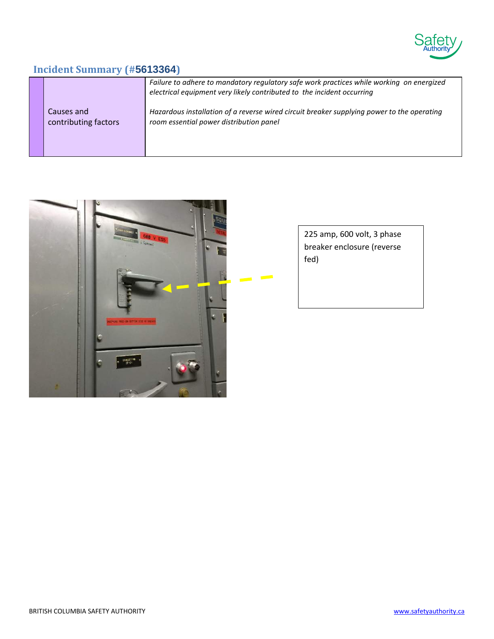

## **Incident Summary (#5613364)**

|                      | Failure to adhere to mandatory regulatory safe work practices while working on energized<br>electrical equipment very likely contributed to the incident occurring |
|----------------------|--------------------------------------------------------------------------------------------------------------------------------------------------------------------|
| Causes and           | Hazardous installation of a reverse wired circuit breaker supplying power to the operating                                                                         |
| contributing factors | room essential power distribution panel                                                                                                                            |



225 amp, 600 volt, 3 phase breaker enclosure (reverse fed)